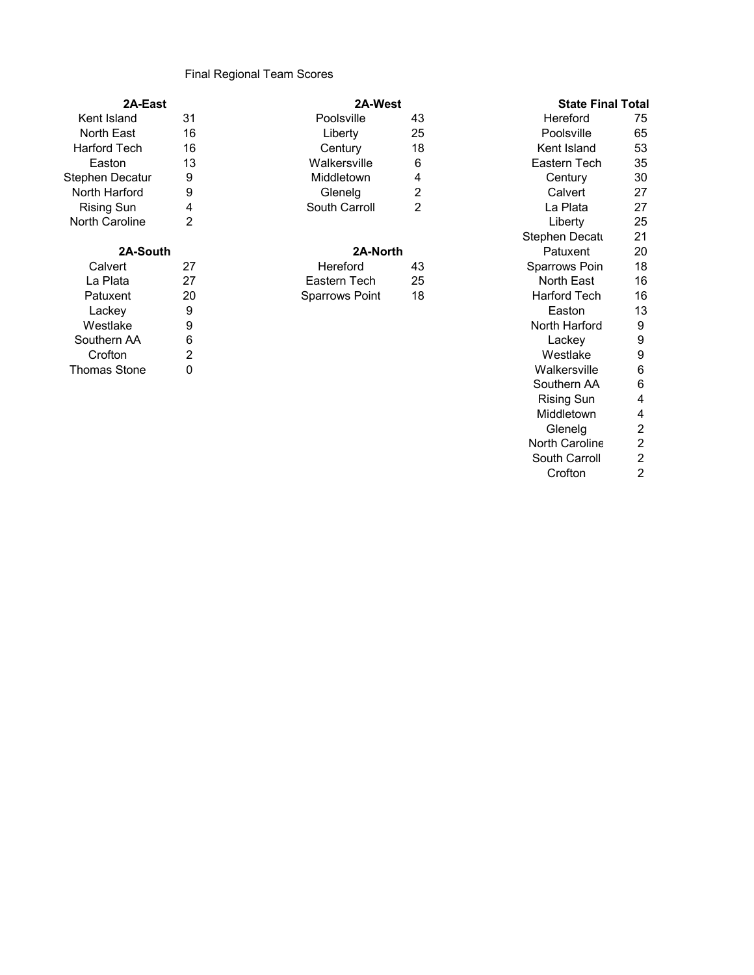## Final Regional Team Scores

| 2A-East               |    | <b>2A-West</b>        |    | State Final Tota      |    |
|-----------------------|----|-----------------------|----|-----------------------|----|
| Kent Island           | 31 | Poolsville            | 43 | Hereford              | 75 |
| North East            | 16 | Liberty               | 25 | Poolsville            | 65 |
| <b>Harford Tech</b>   | 16 | Century               | 18 | Kent Island           | 53 |
| Easton                | 13 | Walkersville          | 6  | Eastern Tech          | 35 |
| Stephen Decatur       | 9  | Middletown            | 4  | Century               | 30 |
| North Harford         | 9  | Glenelg               | 2  | Calvert               | 27 |
| Rising Sun            | 4  | South Carroll         | 2  | La Plata              | 27 |
| <b>North Caroline</b> | 2  |                       |    | Liberty               | 25 |
|                       |    |                       |    | <b>Stephen Decatu</b> | 21 |
| 2A-South              |    | 2A-North              |    | Patuxent              | 20 |
| Calvert               | 27 | Hereford              | 43 | Sparrows Poin         | 18 |
| La Plata              | 27 | Eastern Tech          | 25 | North East            | 16 |
| Patuxent              | 20 | <b>Sparrows Point</b> | 18 | <b>Harford Tech</b>   | 16 |
| Lackev                | 9  |                       |    | Easton                | 13 |

| ∟uvivy              |   |
|---------------------|---|
| Westlake            | g |
| Southern AA         | 6 |
| Crofton             | 2 |
| <b>Thomas Stone</b> | 0 |

## Kent Island 31 Poolsville 43 Hereford 75 North East 16 Liberty 25 Poolsville 65 North Harford 9 Glenelg 2 Calvert 27

## **2A-South 2A-North**

| Hereford              | 43 |
|-----------------------|----|
| Eastern Tech          | 25 |
| <b>Sparrows Point</b> | 18 |

## Century 18 Kent Island 53 Walkersville 6 6 Eastern Tech 35<br>Middletown 4 Century 30 South Carroll 2 La Plata 27 Stephen Decatu 21<br>Patuxent 20 Patuxent Sparrows Poin 18<br>North East 16 **North East** Harford Tech 16 Lackey 9 Easton 13 North Harford 9<br>Lackey 9 Southern AA 6 Lackey 9 Crofton 2 Westlake 9 Walkersville 6 Southern AA 6<br>Rising Sun 4 Rising Sun 4 Middletown 4<br>Glenelg 2 **Glenelg** North Caroline 2<br>South Carroll 2 South Carroll 2<br>Crofton 2 Crofton **2A-East 2A-West State Final Total**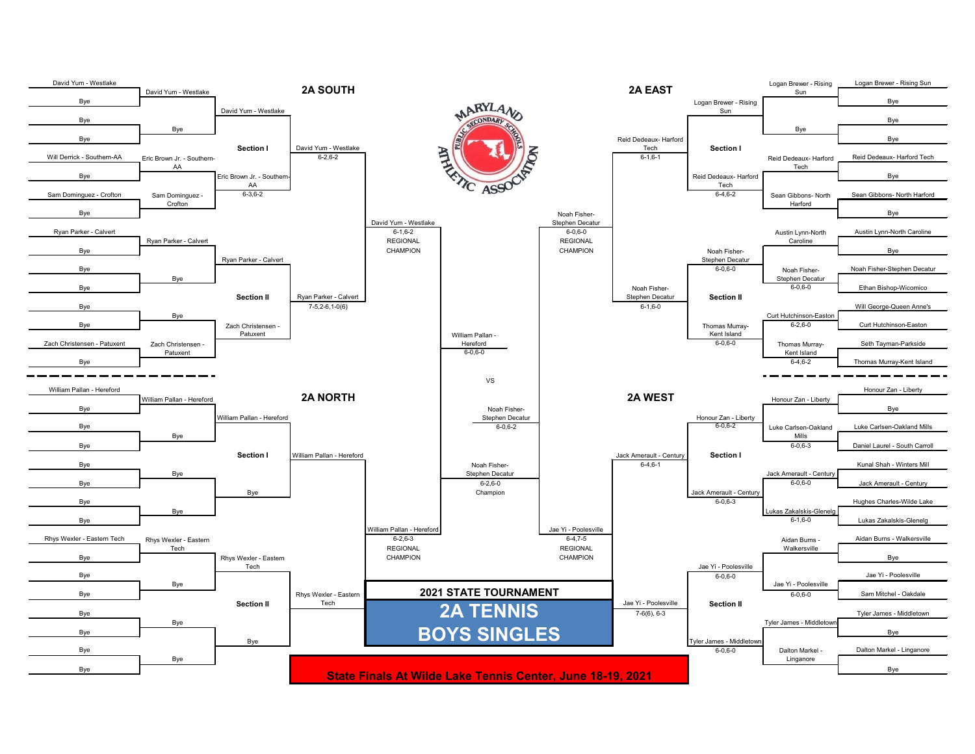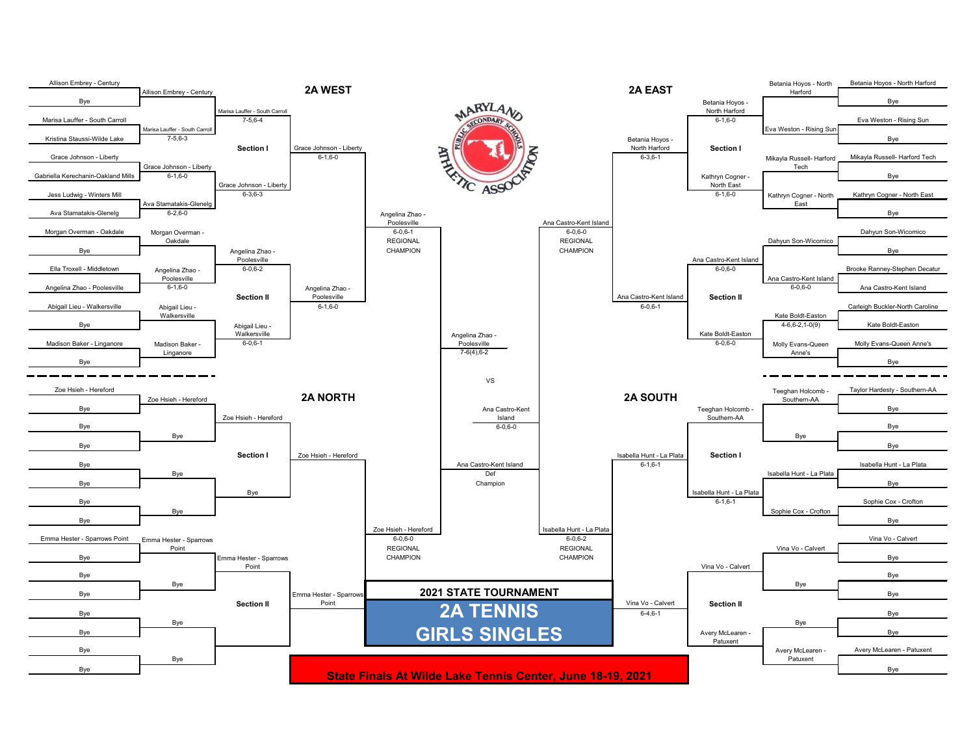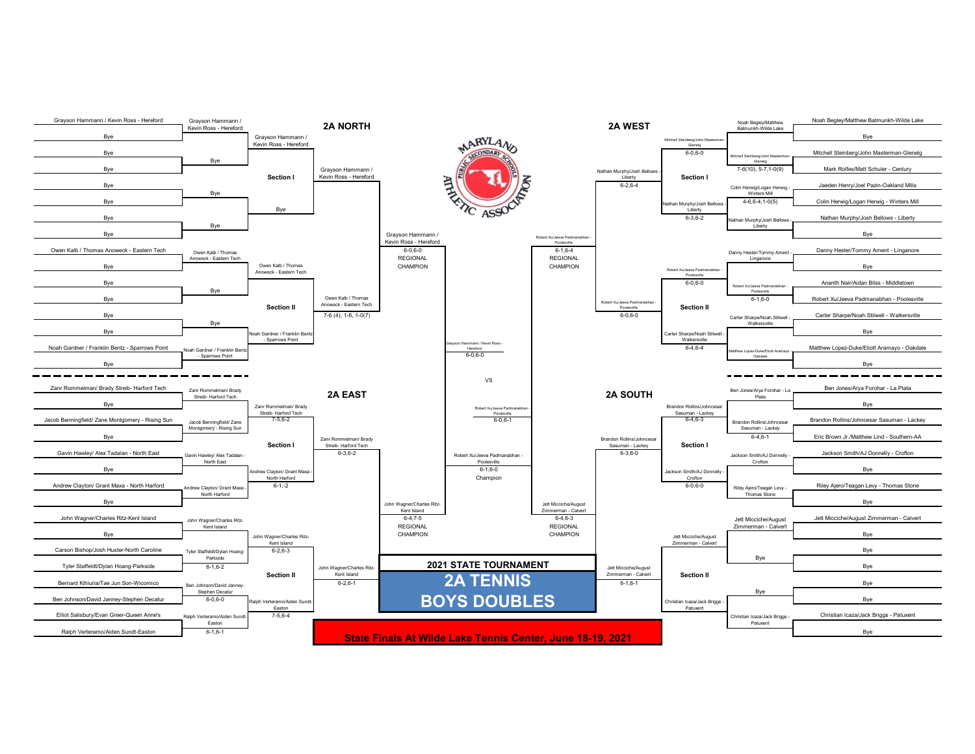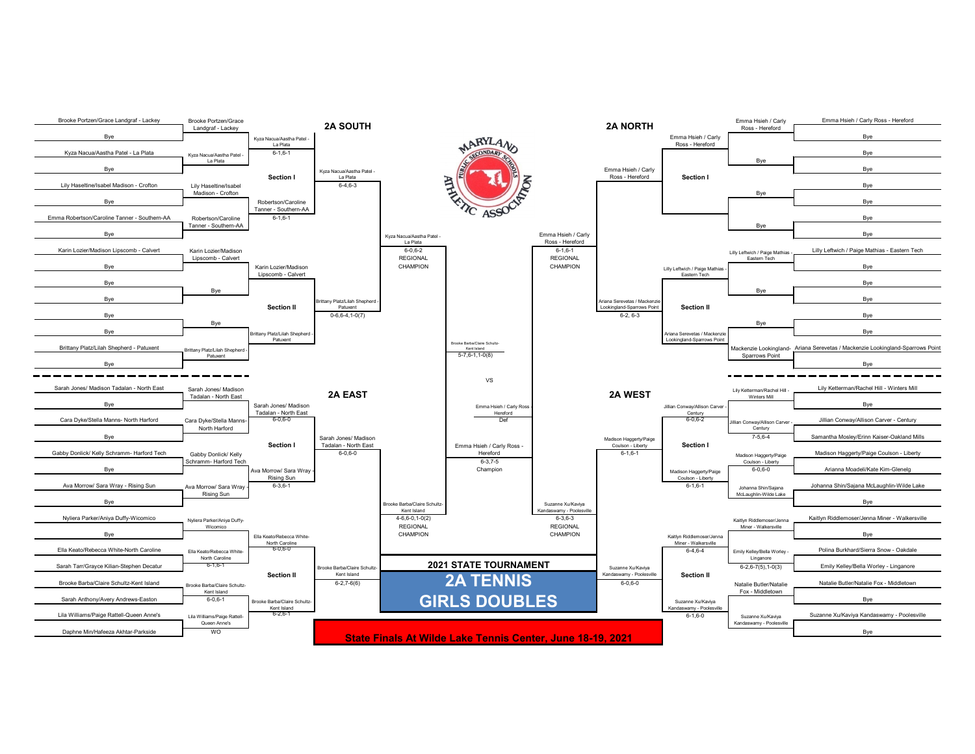